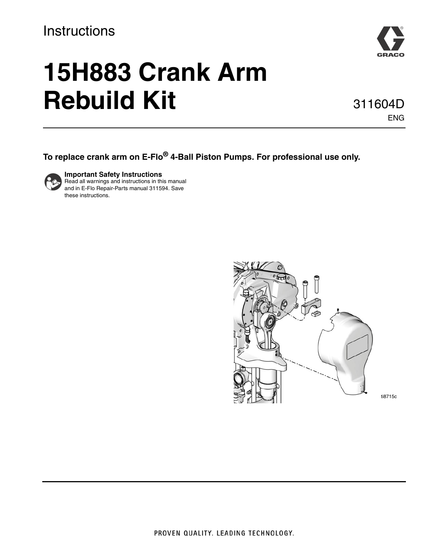## **Instructions**



# **15H883 Crank Arm Rebuild Kit**

311604D ENG

## **To replace crank arm on E-Flo® 4-Ball Piston Pumps. For professional use only.**



**Important Safety Instructions** Read all warnings and instructions in this manual and in E-Flo Repair-Parts manual 311594. Save these instructions.

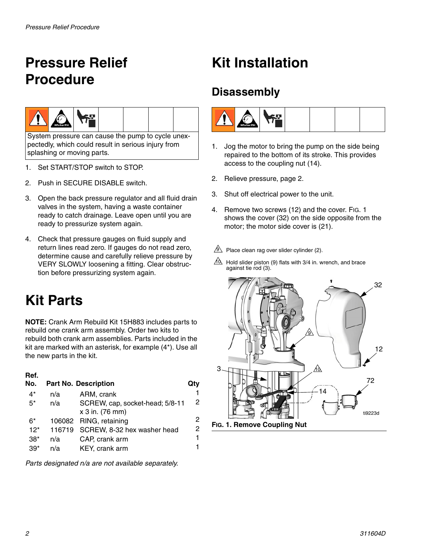# <span id="page-1-0"></span>**Pressure Relief Procedure**



System pressure can cause the pump to cycle unexpectedly, which could result in serious injury from splashing or moving parts.

- 1. Set START/STOP switch to STOP.
- 2. Push in SECURE DISABLE switch.
- 3. Open the back pressure regulator and all fluid drain valves in the system, having a waste container ready to catch drainage. Leave open until you are ready to pressurize system again.
- 4. Check that pressure gauges on fluid supply and return lines read zero. If gauges do not read zero, determine cause and carefully relieve pressure by VERY SLOWLY loosening a fitting. Clear obstruction before pressurizing system again.

# **Kit Parts**

**NOTE:** Crank Arm Rebuild Kit 15H883 includes parts to rebuild one crank arm assembly. Order two kits to rebuild both crank arm assemblies. Parts included in the kit are marked with an asterisk, for example (4\*). Use all the new parts in the kit.

#### **Ref.**

| No.   |     | <b>Part No. Description</b>        | Qtv |
|-------|-----|------------------------------------|-----|
| $4^*$ | n/a | ARM, crank                         | 1   |
| $5^*$ | n/a | SCREW, cap, socket-head; 5/8-11    | 2   |
|       |     | x 3 in. (76 mm)                    |     |
| $6*$  |     | 106082 RING, retaining             | 2   |
| $12*$ |     | 116719 SCREW, 8-32 hex washer head | 2   |
| $38*$ | n/a | CAP, crank arm                     | 1   |
| $39*$ | n/a | KEY, crank arm                     | 1   |

*Parts designated n/a are not available separately.*

# **Kit Installation**

## **Disassembly**



- 1. Jog the motor to bring the pump on the side being repaired to the bottom of its stroke. This provides access to the coupling nut (14).
- 2. Relieve pressure, page [2.](#page-1-0)
- 3. Shut off electrical power to the unit.
- 4. Remove two screws (12) and the cover. FIG. 1 shows the cover (32) on the side opposite from the motor; the motor side cover is (21).
- $9$  Place clean rag over slider cylinder (2).
- $10 \overline{0}$  Hold slider piston (9) flats with 3/4 in. wrench, and brace against tie rod (3).

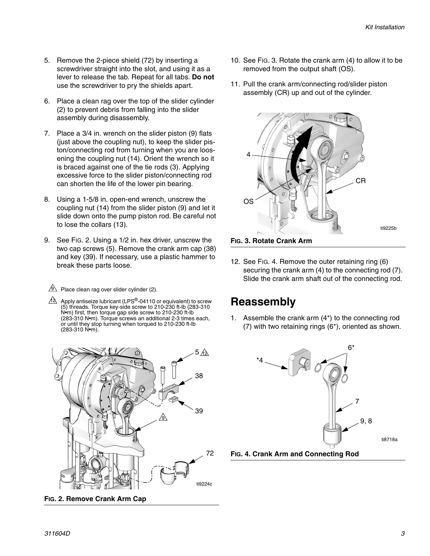- 5. Remove the 2-piece shield (72) by inserting a screwdriver straight into the slot, and using it as a lever to release the tab. Repeat for all tabs. **Do not** use the screwdriver to pry the shields apart.
- 6. Place a clean rag over the top of the slider cylinder (2) to prevent debris from falling into the slider assembly during disassembly.
- 7. Place a 3/4 in. wrench on the slider piston (9) flats (just above the coupling nut), to keep the slider piston/connecting rod from turning when you are loosening the coupling nut (14). Orient the wrench so it is braced against one of the tie rods (3). Applying excessive force to the slider piston/connecting rod can shorten the life of the lower pin bearing.
- 8. Using a 1-5/8 in. open-end wrench, unscrew the coupling nut (14) from the slider piston (9) and let it slide down onto the pump piston rod. Be careful not to lose the collars (13).
- 9. See FIG. 2. Using a 1/2 in. hex driver, unscrew the two cap screws (5). Remove the crank arm cap (38) and key (39). If necessary, use a plastic hammer to break these parts loose.
	- $9$  Place clean rag over slider cylinder (2).
	- $4\overline{\triangle}$  Apply antiseize lubricant (LPS®-04110 or equivalent) to screw (5) threads. Torque key-side screw to 210-230 ft-lb (283-310 N•m) first, then torque gap side screw to 210-230 ft-lb (283-310 N•m). Torque screws an additional 2-3 times each, or until they stop turning when torqued to 210-230 ft-lb (283-310 N•m).



**FIG. 2. Remove Crank Arm Cap**

- 10. See FIG. 3. Rotate the crank arm (4) to allow it to be removed from the output shaft (OS).
- 11. Pull the crank arm/connecting rod/slider piston assembly (CR) up and out of the cylinder.



12. See FIG. 4. Remove the outer retaining ring (6) securing the crank arm (4) to the connecting rod (7). Slide the crank arm shaft out of the connecting rod.

### **Reassembly**

1. Assemble the crank arm (4\*) to the connecting rod (7) with two retaining rings (6\*), oriented as shown.

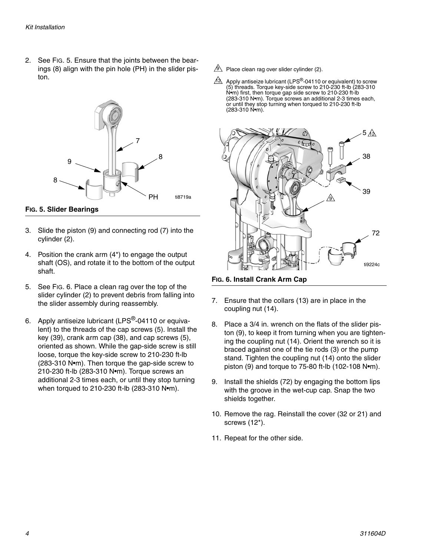2. See FIG. 5. Ensure that the joints between the bearings (8) align with the pin hole (PH) in the slider piston.



**FIG. 5. Slider Bearings**

- 3. Slide the piston (9) and connecting rod (7) into the cylinder (2).
- 4. Position the crank arm (4\*) to engage the output shaft (OS), and rotate it to the bottom of the output shaft.
- 5. See [FIG. 6](#page-3-0). Place a clean rag over the top of the slider cylinder (2) to prevent debris from falling into the slider assembly during reassembly.
- 6. Apply antiseize lubricant (LPS®-04110 or equivalent) to the threads of the cap screws (5). Install the key (39), crank arm cap (38), and cap screws (5), oriented as shown. While the gap-side screw is still loose, torque the key-side screw to 210-230 ft-lb (283-310 N•m). Then torque the gap-side screw to 210-230 ft-lb (283-310 N•m). Torque screws an additional 2-3 times each, or until they stop turning when torqued to 210-230 ft-lb (283-310 N•m).
- $9$  Place clean rag over slider cylinder (2).
- Apply antiseize lubricant (LPS<sup>®</sup>-04110 or equivalent) to screw<br>(5) threads. Torque key-side screw to 210-230 ft-lb (283-310 N•m) first, then torque gap side screw to 210-230 ft-lb (283-310 N•m). Torque screws an additional 2-3 times each, or until they stop turning when torqued to 210-230 ft-lb (283-310 N•m). 12



<span id="page-3-0"></span>**FIG. 6. Install Crank Arm Cap**

- 7. Ensure that the collars (13) are in place in the coupling nut (14).
- 8. Place a 3/4 in. wrench on the flats of the slider piston (9), to keep it from turning when you are tightening the coupling nut (14). Orient the wrench so it is braced against one of the tie rods (3) or the pump stand. Tighten the coupling nut (14) onto the slider piston (9) and torque to 75-80 ft-lb (102-108 N•m).
- 9. Install the shields (72) by engaging the bottom lips with the groove in the wet-cup cap. Snap the two shields together.
- 10. Remove the rag. Reinstall the cover (32 or 21) and screws (12\*).
- 11. Repeat for the other side.